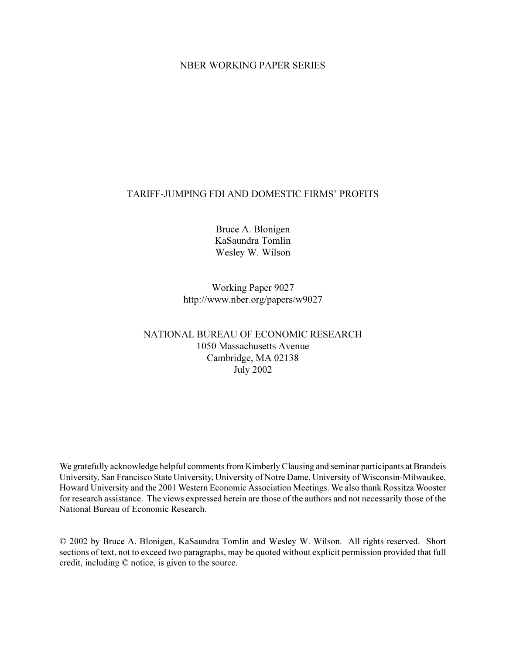### NBER WORKING PAPER SERIES

### TARIFF-JUMPING FDI AND DOMESTIC FIRMS' PROFITS

Bruce A. Blonigen KaSaundra Tomlin Wesley W. Wilson

Working Paper 9027 http://www.nber.org/papers/w9027

### NATIONAL BUREAU OF ECONOMIC RESEARCH 1050 Massachusetts Avenue Cambridge, MA 02138 July 2002

We gratefully acknowledge helpful comments from Kimberly Clausing and seminar participants at Brandeis University, San Francisco State University, University of Notre Dame, University of Wisconsin-Milwaukee, Howard University and the 2001 Western Economic Association Meetings. We also thank Rossitza Wooster for research assistance. The views expressed herein are those of the authors and not necessarily those of the National Bureau of Economic Research.

© 2002 by Bruce A. Blonigen, KaSaundra Tomlin and Wesley W. Wilson. All rights reserved. Short sections of text, not to exceed two paragraphs, may be quoted without explicit permission provided that full credit, including © notice, is given to the source.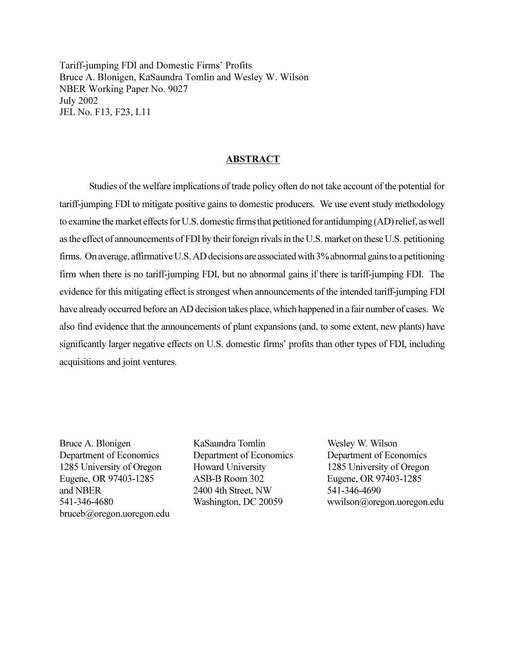Tariff-jumping FDI and Domestic Firms' Profits Bruce A. Blonigen, KaSaundra Tomlin and Wesley W. Wilson NBER Working Paper No. 9027 July 2002 JEL No. F13, F23, L11

#### ABSTRACT

Studies of the welfare implications of trade policy often do not take account of the potential for tariff-jumping FDI to mitigate positive gains to domestic producers. We use event study methodology to examine the market effects for U.S. domestic firms that petitioned for antidumping (AD) relief, as well as the effect of announcements of FDI by their foreign rivals in the U.S. market on these U.S. petitioning firms. On average, affirmative U.S. AD decisions are associated with 3% abnormal gains to a petitioning firm when there is no tariff-jumping FDI, but no abnormal gains if there is tariff-jumping FDI. The evidence for this mitigating effect is strongest when announcements of the intended tariff-jumping FDI have already occurred before an AD decision takes place, which happened in a fair number of cases. We also find evidence that the announcements of plant expansions (and, to some extent, new plants) have significantly larger negative effects on U.S. domestic firms' profits than other types of FDI, including acquisitions and joint ventures.

Bruce A. Blonigen KaSaundra Tomlin Wesley W. Wilson Department of Economics Department of Economics Department of Economics 1285 University of Oregon Howard University 1285 University of Oregon Eugene, OR 97403-1285 ASB-B Room 302 Eugene, OR 97403-1285 and NBER 2400 4th Street, NW 541-346-4690 bruceb@oregon.uoregon.edu

541-346-4680 Washington, DC 20059 wwilson@oregon.uoregon.edu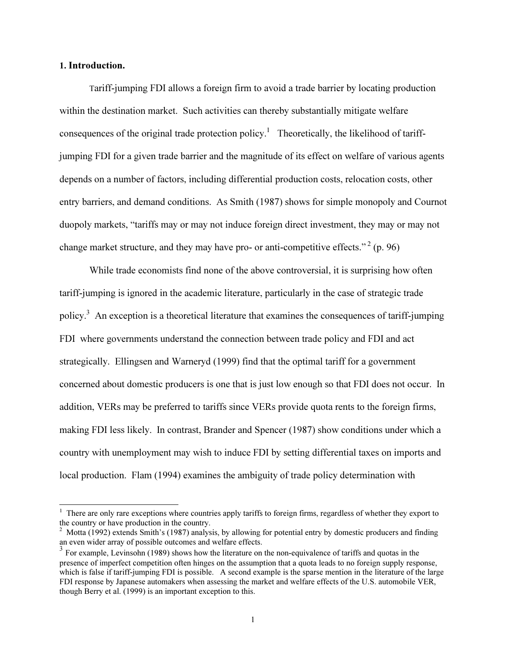### 1. Introduction.

 $\overline{a}$ 

 Tariff-jumping FDI allows a foreign firm to avoid a trade barrier by locating production within the destination market. Such activities can thereby substantially mitigate welfare consequences of the original trade protection policy.<sup>1</sup> Theoretically, the likelihood of tariffjumping FDI for a given trade barrier and the magnitude of its effect on welfare of various agents depends on a number of factors, including differential production costs, relocation costs, other entry barriers, and demand conditions. As Smith (1987) shows for simple monopoly and Cournot duopoly markets, "tariffs may or may not induce foreign direct investment, they may or may not change market structure, and they may have pro- or anti-competitive effects."<sup>2</sup> (p. 96)

While trade economists find none of the above controversial, it is surprising how often tariff-jumping is ignored in the academic literature, particularly in the case of strategic trade policy.<sup>3</sup> An exception is a theoretical literature that examines the consequences of tariff-jumping FDI where governments understand the connection between trade policy and FDI and act strategically. Ellingsen and Warneryd (1999) find that the optimal tariff for a government concerned about domestic producers is one that is just low enough so that FDI does not occur. In addition, VERs may be preferred to tariffs since VERs provide quota rents to the foreign firms, making FDI less likely. In contrast, Brander and Spencer (1987) show conditions under which a country with unemployment may wish to induce FDI by setting differential taxes on imports and local production. Flam (1994) examines the ambiguity of trade policy determination with

<sup>&</sup>lt;sup>1</sup> There are only rare exceptions where countries apply tariffs to foreign firms, regardless of whether they export to the country or have production in the country.

<sup>&</sup>lt;sup>2</sup> Motta (1992) extends Smith's (1987) analysis, by allowing for potential entry by domestic producers and finding an even wider array of possible outcomes and welfare effects.

<sup>&</sup>lt;sup>3</sup> For example, Levinsohn (1989) shows how the literature on the non-equivalence of tariffs and quotas in the presence of imperfect competition often hinges on the assumption that a quota leads to no foreign supply response, which is false if tariff-jumping FDI is possible. A second example is the sparse mention in the literature of the large FDI response by Japanese automakers when assessing the market and welfare effects of the U.S. automobile VER, though Berry et al. (1999) is an important exception to this.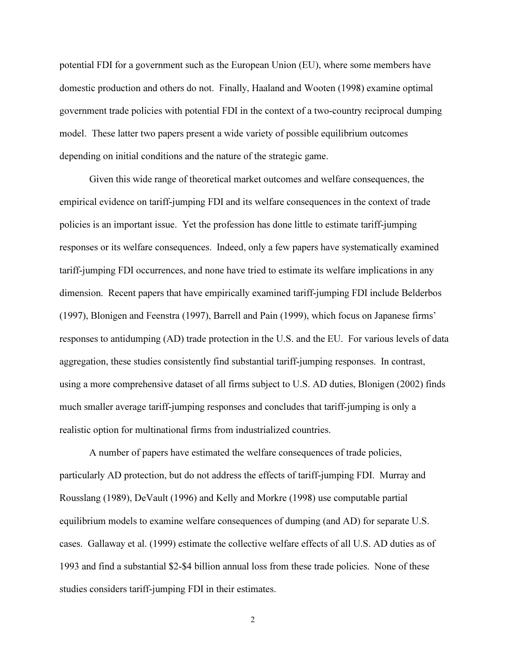potential FDI for a government such as the European Union (EU), where some members have domestic production and others do not. Finally, Haaland and Wooten (1998) examine optimal government trade policies with potential FDI in the context of a two-country reciprocal dumping model. These latter two papers present a wide variety of possible equilibrium outcomes depending on initial conditions and the nature of the strategic game.

Given this wide range of theoretical market outcomes and welfare consequences, the empirical evidence on tariff-jumping FDI and its welfare consequences in the context of trade policies is an important issue. Yet the profession has done little to estimate tariff-jumping responses or its welfare consequences. Indeed, only a few papers have systematically examined tariff-jumping FDI occurrences, and none have tried to estimate its welfare implications in any dimension. Recent papers that have empirically examined tariff-jumping FDI include Belderbos (1997), Blonigen and Feenstra (1997), Barrell and Pain (1999), which focus on Japanese firms' responses to antidumping (AD) trade protection in the U.S. and the EU. For various levels of data aggregation, these studies consistently find substantial tariff-jumping responses. In contrast, using a more comprehensive dataset of all firms subject to U.S. AD duties, Blonigen (2002) finds much smaller average tariff-jumping responses and concludes that tariff-jumping is only a realistic option for multinational firms from industrialized countries.

A number of papers have estimated the welfare consequences of trade policies, particularly AD protection, but do not address the effects of tariff-jumping FDI. Murray and Rousslang (1989), DeVault (1996) and Kelly and Morkre (1998) use computable partial equilibrium models to examine welfare consequences of dumping (and AD) for separate U.S. cases. Gallaway et al. (1999) estimate the collective welfare effects of all U.S. AD duties as of 1993 and find a substantial \$2-\$4 billion annual loss from these trade policies. None of these studies considers tariff-jumping FDI in their estimates.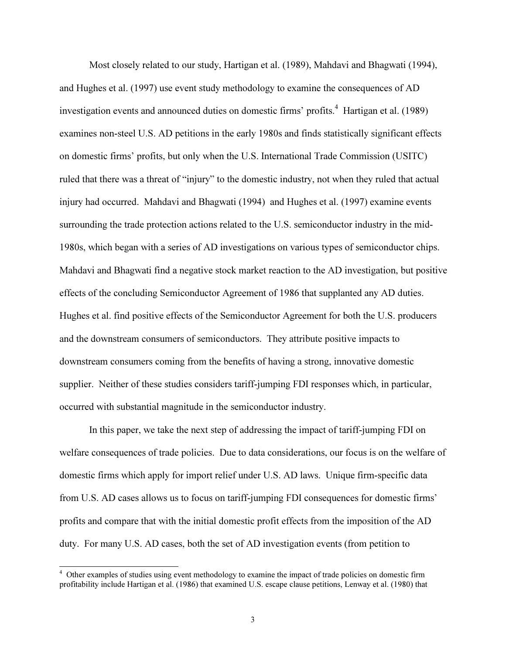Most closely related to our study, Hartigan et al. (1989), Mahdavi and Bhagwati (1994), and Hughes et al. (1997) use event study methodology to examine the consequences of AD investigation events and announced duties on domestic firms' profits.<sup>4</sup> Hartigan et al. (1989) examines non-steel U.S. AD petitions in the early 1980s and finds statistically significant effects on domestic firms' profits, but only when the U.S. International Trade Commission (USITC) ruled that there was a threat of "injury" to the domestic industry, not when they ruled that actual injury had occurred. Mahdavi and Bhagwati (1994) and Hughes et al. (1997) examine events surrounding the trade protection actions related to the U.S. semiconductor industry in the mid-1980s, which began with a series of AD investigations on various types of semiconductor chips. Mahdavi and Bhagwati find a negative stock market reaction to the AD investigation, but positive effects of the concluding Semiconductor Agreement of 1986 that supplanted any AD duties. Hughes et al. find positive effects of the Semiconductor Agreement for both the U.S. producers and the downstream consumers of semiconductors. They attribute positive impacts to downstream consumers coming from the benefits of having a strong, innovative domestic supplier. Neither of these studies considers tariff-jumping FDI responses which, in particular, occurred with substantial magnitude in the semiconductor industry.

In this paper, we take the next step of addressing the impact of tariff-jumping FDI on welfare consequences of trade policies. Due to data considerations, our focus is on the welfare of domestic firms which apply for import relief under U.S. AD laws. Unique firm-specific data from U.S. AD cases allows us to focus on tariff-jumping FDI consequences for domestic firms' profits and compare that with the initial domestic profit effects from the imposition of the AD duty. For many U.S. AD cases, both the set of AD investigation events (from petition to

<sup>&</sup>lt;sup>4</sup> Other examples of studies using event methodology to examine the impact of trade policies on domestic firm profitability include Hartigan et al. (1986) that examined U.S. escape clause petitions, Lenway et al. (1980) that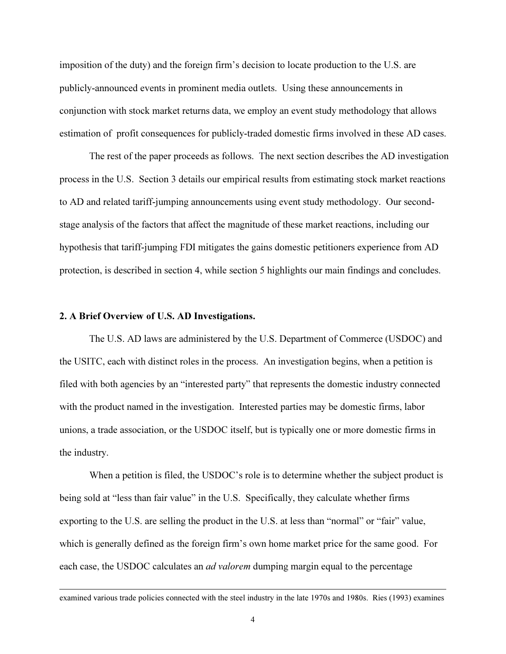imposition of the duty) and the foreign firm's decision to locate production to the U.S. are publicly-announced events in prominent media outlets. Using these announcements in conjunction with stock market returns data, we employ an event study methodology that allows estimation of profit consequences for publicly-traded domestic firms involved in these AD cases.

The rest of the paper proceeds as follows. The next section describes the AD investigation process in the U.S. Section 3 details our empirical results from estimating stock market reactions to AD and related tariff-jumping announcements using event study methodology. Our secondstage analysis of the factors that affect the magnitude of these market reactions, including our hypothesis that tariff-jumping FDI mitigates the gains domestic petitioners experience from AD protection, is described in section 4, while section 5 highlights our main findings and concludes.

### 2. A Brief Overview of U.S. AD Investigations.

 $\overline{a}$ 

The U.S. AD laws are administered by the U.S. Department of Commerce (USDOC) and the USITC, each with distinct roles in the process. An investigation begins, when a petition is filed with both agencies by an "interested party" that represents the domestic industry connected with the product named in the investigation. Interested parties may be domestic firms, labor unions, a trade association, or the USDOC itself, but is typically one or more domestic firms in the industry.

When a petition is filed, the USDOC's role is to determine whether the subject product is being sold at "less than fair value" in the U.S. Specifically, they calculate whether firms exporting to the U.S. are selling the product in the U.S. at less than "normal" or "fair" value, which is generally defined as the foreign firm's own home market price for the same good. For each case, the USDOC calculates an *ad valorem* dumping margin equal to the percentage

examined various trade policies connected with the steel industry in the late 1970s and 1980s. Ries (1993) examines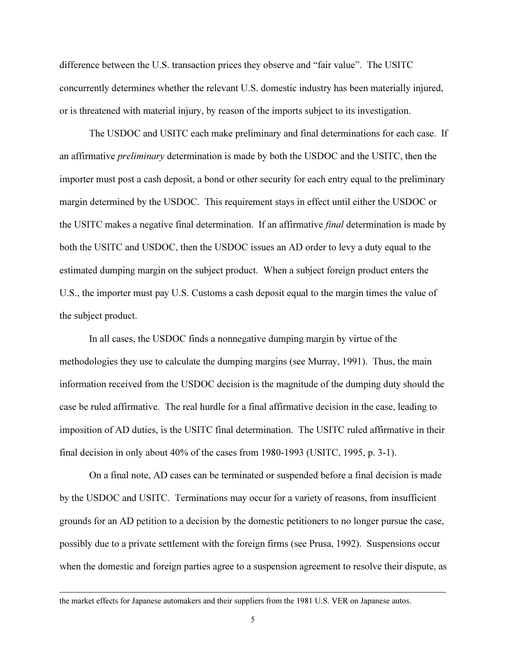difference between the U.S. transaction prices they observe and "fair value". The USITC concurrently determines whether the relevant U.S. domestic industry has been materially injured, or is threatened with material injury, by reason of the imports subject to its investigation.

 The USDOC and USITC each make preliminary and final determinations for each case. If an affirmative preliminary determination is made by both the USDOC and the USITC, then the importer must post a cash deposit, a bond or other security for each entry equal to the preliminary margin determined by the USDOC. This requirement stays in effect until either the USDOC or the USITC makes a negative final determination. If an affirmative final determination is made by both the USITC and USDOC, then the USDOC issues an AD order to levy a duty equal to the estimated dumping margin on the subject product. When a subject foreign product enters the U.S., the importer must pay U.S. Customs a cash deposit equal to the margin times the value of the subject product.

In all cases, the USDOC finds a nonnegative dumping margin by virtue of the methodologies they use to calculate the dumping margins (see Murray, 1991). Thus, the main information received from the USDOC decision is the magnitude of the dumping duty should the case be ruled affirmative. The real hurdle for a final affirmative decision in the case, leading to imposition of AD duties, is the USITC final determination. The USITC ruled affirmative in their final decision in only about 40% of the cases from 1980-1993 (USITC, 1995, p. 3-1).

On a final note, AD cases can be terminated or suspended before a final decision is made by the USDOC and USITC. Terminations may occur for a variety of reasons, from insufficient grounds for an AD petition to a decision by the domestic petitioners to no longer pursue the case, possibly due to a private settlement with the foreign firms (see Prusa, 1992). Suspensions occur when the domestic and foreign parties agree to a suspension agreement to resolve their dispute, as

the market effects for Japanese automakers and their suppliers from the 1981 U.S. VER on Japanese autos.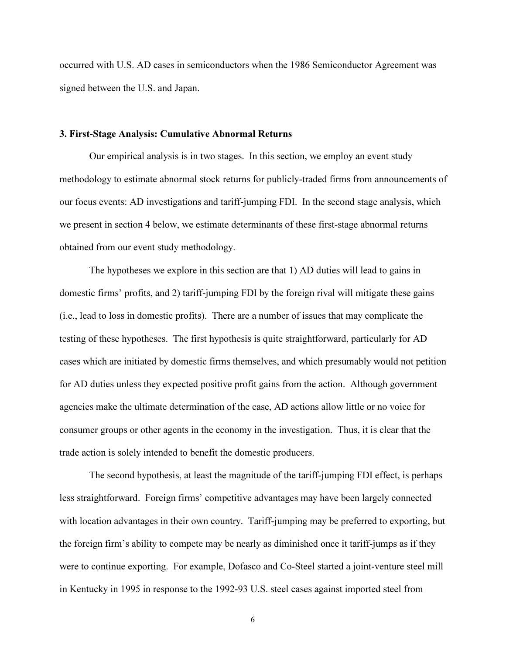occurred with U.S. AD cases in semiconductors when the 1986 Semiconductor Agreement was signed between the U.S. and Japan.

### 3. First-Stage Analysis: Cumulative Abnormal Returns

Our empirical analysis is in two stages. In this section, we employ an event study methodology to estimate abnormal stock returns for publicly-traded firms from announcements of our focus events: AD investigations and tariff-jumping FDI. In the second stage analysis, which we present in section 4 below, we estimate determinants of these first-stage abnormal returns obtained from our event study methodology.

The hypotheses we explore in this section are that 1) AD duties will lead to gains in domestic firms' profits, and 2) tariff-jumping FDI by the foreign rival will mitigate these gains (i.e., lead to loss in domestic profits). There are a number of issues that may complicate the testing of these hypotheses. The first hypothesis is quite straightforward, particularly for AD cases which are initiated by domestic firms themselves, and which presumably would not petition for AD duties unless they expected positive profit gains from the action. Although government agencies make the ultimate determination of the case, AD actions allow little or no voice for consumer groups or other agents in the economy in the investigation. Thus, it is clear that the trade action is solely intended to benefit the domestic producers.

The second hypothesis, at least the magnitude of the tariff-jumping FDI effect, is perhaps less straightforward. Foreign firms' competitive advantages may have been largely connected with location advantages in their own country. Tariff-jumping may be preferred to exporting, but the foreign firm's ability to compete may be nearly as diminished once it tariff-jumps as if they were to continue exporting. For example, Dofasco and Co-Steel started a joint-venture steel mill in Kentucky in 1995 in response to the 1992-93 U.S. steel cases against imported steel from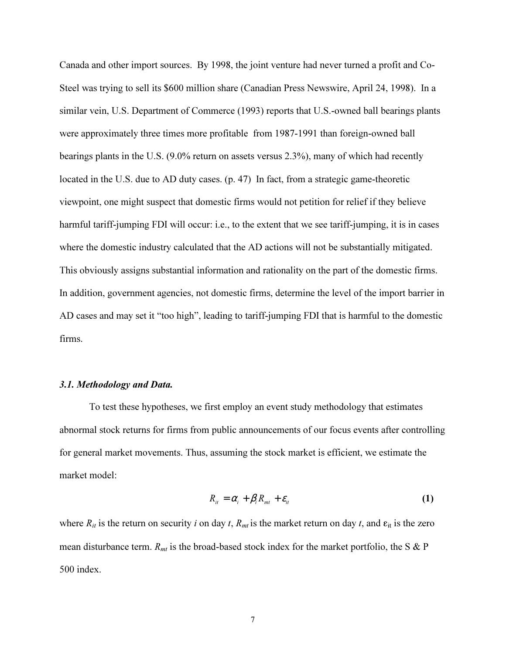Canada and other import sources. By 1998, the joint venture had never turned a profit and Co-Steel was trying to sell its \$600 million share (Canadian Press Newswire, April 24, 1998). In a similar vein, U.S. Department of Commerce (1993) reports that U.S.-owned ball bearings plants were approximately three times more profitable from 1987-1991 than foreign-owned ball bearings plants in the U.S. (9.0% return on assets versus 2.3%), many of which had recently located in the U.S. due to AD duty cases. (p. 47) In fact, from a strategic game-theoretic viewpoint, one might suspect that domestic firms would not petition for relief if they believe harmful tariff-jumping FDI will occur: i.e., to the extent that we see tariff-jumping, it is in cases where the domestic industry calculated that the AD actions will not be substantially mitigated. This obviously assigns substantial information and rationality on the part of the domestic firms. In addition, government agencies, not domestic firms, determine the level of the import barrier in AD cases and may set it "too high", leading to tariff-jumping FDI that is harmful to the domestic firms.

### 3.1. Methodology and Data.

To test these hypotheses, we first employ an event study methodology that estimates abnormal stock returns for firms from public announcements of our focus events after controlling for general market movements. Thus, assuming the stock market is efficient, we estimate the market model:

$$
R_{it} = \alpha_i + \beta_i R_{mt} + \varepsilon_{it}
$$
 (1)

where  $R_{it}$  is the return on security i on day t,  $R_{mt}$  is the market return on day t, and  $\varepsilon_{it}$  is the zero mean disturbance term.  $R_{mt}$  is the broad-based stock index for the market portfolio, the S & P 500 index.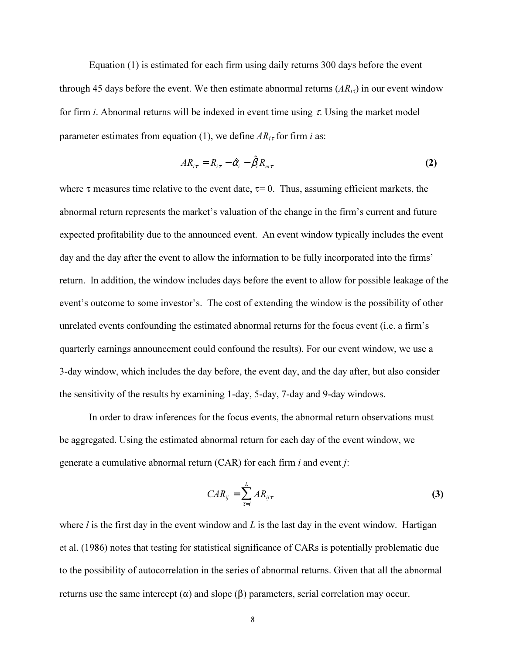Equation (1) is estimated for each firm using daily returns 300 days before the event through 45 days before the event. We then estimate abnormal returns  $(AR_{i\tau})$  in our event window for firm *i*. Abnormal returns will be indexed in event time using  $\tau$ . Using the market model parameter estimates from equation (1), we define  $AR_{i\tau}$  for firm i as:

$$
AR_{i\tau} = R_{i\tau} - \hat{\alpha}_i - \hat{\beta}_i R_{m\tau}
$$
 (2)

where  $\tau$  measures time relative to the event date,  $\tau$ = 0. Thus, assuming efficient markets, the abnormal return represents the market's valuation of the change in the firm's current and future expected profitability due to the announced event. An event window typically includes the event day and the day after the event to allow the information to be fully incorporated into the firms' return. In addition, the window includes days before the event to allow for possible leakage of the event's outcome to some investor's. The cost of extending the window is the possibility of other unrelated events confounding the estimated abnormal returns for the focus event (i.e. a firm's quarterly earnings announcement could confound the results). For our event window, we use a 3-day window, which includes the day before, the event day, and the day after, but also consider the sensitivity of the results by examining 1-day, 5-day, 7-day and 9-day windows.

In order to draw inferences for the focus events, the abnormal return observations must be aggregated. Using the estimated abnormal return for each day of the event window, we generate a cumulative abnormal return (CAR) for each firm i and event j:

$$
CAR_{ij} = \sum_{\tau=l}^{L} AR_{ij\tau}
$$
 (3)

where  $l$  is the first day in the event window and  $L$  is the last day in the event window. Hartigan et al. (1986) notes that testing for statistical significance of CARs is potentially problematic due to the possibility of autocorrelation in the series of abnormal returns. Given that all the abnormal returns use the same intercept  $(\alpha)$  and slope  $(\beta)$  parameters, serial correlation may occur.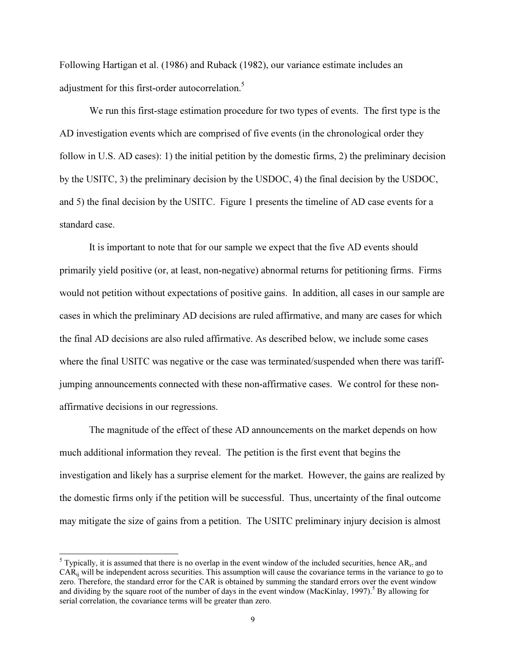Following Hartigan et al. (1986) and Ruback (1982), our variance estimate includes an adjustment for this first-order autocorrelation.<sup>5</sup>

We run this first-stage estimation procedure for two types of events. The first type is the AD investigation events which are comprised of five events (in the chronological order they follow in U.S. AD cases): 1) the initial petition by the domestic firms, 2) the preliminary decision by the USITC, 3) the preliminary decision by the USDOC, 4) the final decision by the USDOC, and 5) the final decision by the USITC. Figure 1 presents the timeline of AD case events for a standard case.

It is important to note that for our sample we expect that the five AD events should primarily yield positive (or, at least, non-negative) abnormal returns for petitioning firms. Firms would not petition without expectations of positive gains. In addition, all cases in our sample are cases in which the preliminary AD decisions are ruled affirmative, and many are cases for which the final AD decisions are also ruled affirmative. As described below, we include some cases where the final USITC was negative or the case was terminated/suspended when there was tariffjumping announcements connected with these non-affirmative cases. We control for these nonaffirmative decisions in our regressions.

The magnitude of the effect of these AD announcements on the market depends on how much additional information they reveal. The petition is the first event that begins the investigation and likely has a surprise element for the market. However, the gains are realized by the domestic firms only if the petition will be successful. Thus, uncertainty of the final outcome may mitigate the size of gains from a petition. The USITC preliminary injury decision is almost

<sup>&</sup>lt;sup>5</sup> Typically, it is assumed that there is no overlap in the event window of the included securities, hence  $AR_{i\tau}$  and CARij will be independent across securities. This assumption will cause the covariance terms in the variance to go to zero. Therefore, the standard error for the CAR is obtained by summing the standard errors over the event window and dividing by the square root of the number of days in the event window (MacKinlay, 1997).<sup>5</sup> By allowing for serial correlation, the covariance terms will be greater than zero.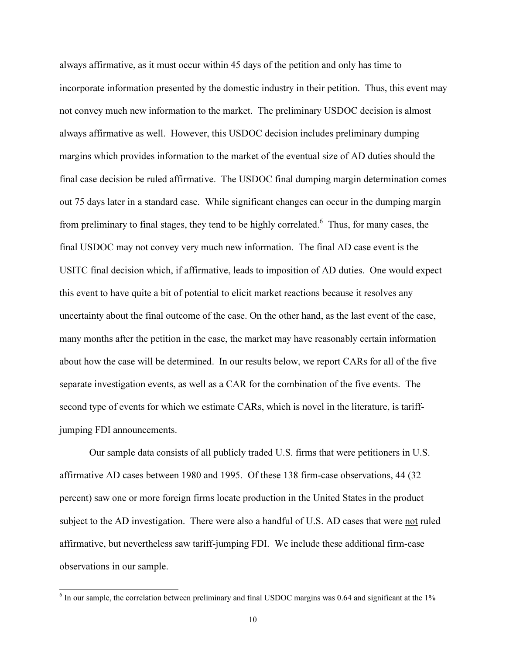always affirmative, as it must occur within 45 days of the petition and only has time to incorporate information presented by the domestic industry in their petition. Thus, this event may not convey much new information to the market. The preliminary USDOC decision is almost always affirmative as well. However, this USDOC decision includes preliminary dumping margins which provides information to the market of the eventual size of AD duties should the final case decision be ruled affirmative. The USDOC final dumping margin determination comes out 75 days later in a standard case. While significant changes can occur in the dumping margin from preliminary to final stages, they tend to be highly correlated.<sup>6</sup> Thus, for many cases, the final USDOC may not convey very much new information. The final AD case event is the USITC final decision which, if affirmative, leads to imposition of AD duties. One would expect this event to have quite a bit of potential to elicit market reactions because it resolves any uncertainty about the final outcome of the case. On the other hand, as the last event of the case, many months after the petition in the case, the market may have reasonably certain information about how the case will be determined. In our results below, we report CARs for all of the five separate investigation events, as well as a CAR for the combination of the five events. The second type of events for which we estimate CARs, which is novel in the literature, is tariffjumping FDI announcements.

Our sample data consists of all publicly traded U.S. firms that were petitioners in U.S. affirmative AD cases between 1980 and 1995. Of these 138 firm-case observations, 44 (32 percent) saw one or more foreign firms locate production in the United States in the product subject to the AD investigation. There were also a handful of U.S. AD cases that were not ruled affirmative, but nevertheless saw tariff-jumping FDI. We include these additional firm-case observations in our sample.

<sup>&</sup>lt;sup>6</sup> In our sample, the correlation between preliminary and final USDOC margins was 0.64 and significant at the 1%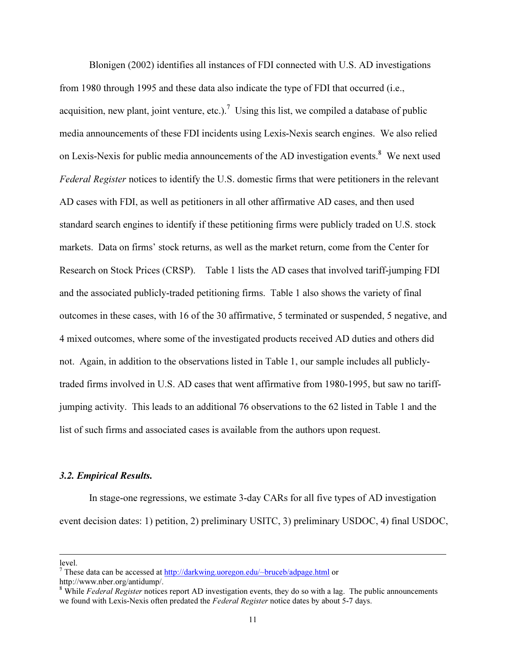Blonigen (2002) identifies all instances of FDI connected with U.S. AD investigations from 1980 through 1995 and these data also indicate the type of FDI that occurred (i.e., acquisition, new plant, joint venture, etc.).<sup>7</sup> Using this list, we compiled a database of public media announcements of these FDI incidents using Lexis-Nexis search engines. We also relied on Lexis-Nexis for public media announcements of the AD investigation events. $8$  We next used Federal Register notices to identify the U.S. domestic firms that were petitioners in the relevant AD cases with FDI, as well as petitioners in all other affirmative AD cases, and then used standard search engines to identify if these petitioning firms were publicly traded on U.S. stock markets. Data on firms' stock returns, as well as the market return, come from the Center for Research on Stock Prices (CRSP). Table 1 lists the AD cases that involved tariff-jumping FDI and the associated publicly-traded petitioning firms. Table 1 also shows the variety of final outcomes in these cases, with 16 of the 30 affirmative, 5 terminated or suspended, 5 negative, and 4 mixed outcomes, where some of the investigated products received AD duties and others did not. Again, in addition to the observations listed in Table 1, our sample includes all publiclytraded firms involved in U.S. AD cases that went affirmative from 1980-1995, but saw no tariffjumping activity. This leads to an additional 76 observations to the 62 listed in Table 1 and the list of such firms and associated cases is available from the authors upon request.

# $\mathbf{r}$ . Empirical Results.

In stage-one regressions, we estimate 3-day CARs for all five types of AD investigation event decision dates: 1) petition, 2) preliminary USITC, 3) preliminary USDOC, 4) final USDOC,

level.

<sup>&</sup>lt;sup>7</sup> These data can be accessed at http://darkwing.uoregon.edu/~bruceb/adpage.html or

http://www.nber.org/antidump/.

 $8$  While Federal Register notices report AD investigation events, they do so with a lag. The public announcements we found with Lexis-Nexis often predated the *Federal Register* notice dates by about 5-7 days.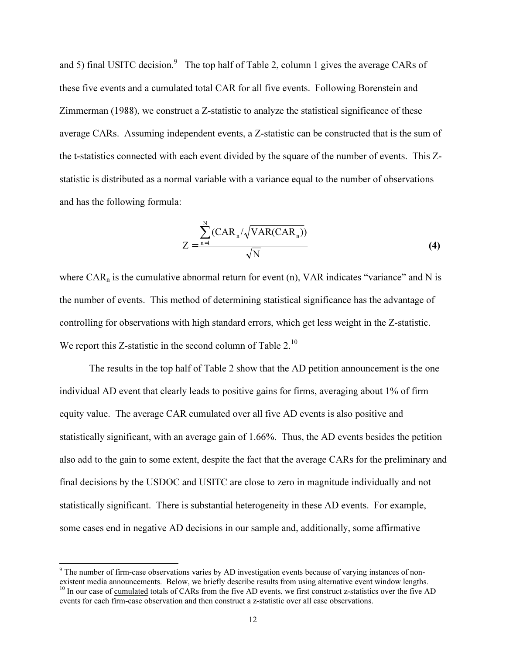and 5) final USITC decision.<sup>9</sup> The top half of Table 2, column 1 gives the average CARs of these five events and a cumulated total CAR for all five events. Following Borenstein and Zimmerman (1988), we construct a Z-statistic to analyze the statistical significance of these average CARs. Assuming independent events, a Z-statistic can be constructed that is the sum of the t-statistics connected with each event divided by the square of the number of events. This Zstatistic is distributed as a normal variable with a variance equal to the number of observations and has the following formula:

$$
Z = \frac{\sum_{n=1}^{N} (CAR_n / \sqrt{VAR(CAR_n)})}{\sqrt{N}}
$$
(4)

where  $CAR_n$  is the cumulative abnormal return for event (n), VAR indicates "variance" and N is the number of events. This method of determining statistical significance has the advantage of controlling for observations with high standard errors, which get less weight in the Z-statistic. We report this Z-statistic in the second column of Table  $2<sup>10</sup>$ 

 The results in the top half of Table 2 show that the AD petition announcement is the one individual AD event that clearly leads to positive gains for firms, averaging about 1% of firm equity value. The average CAR cumulated over all five AD events is also positive and statistically significant, with an average gain of 1.66%. Thus, the AD events besides the petition also add to the gain to some extent, despite the fact that the average CARs for the preliminary and final decisions by the USDOC and USITC are close to zero in magnitude individually and not statistically significant. There is substantial heterogeneity in these AD events. For example, some cases end in negative AD decisions in our sample and, additionally, some affirmative

<sup>&</sup>lt;sup>9</sup> The number of firm-case observations varies by AD investigation events because of varying instances of nonexistent media announcements. Below, we briefly describe results from using alternative event window lengths. <sup>10</sup> In our case of <u>cumulated</u> totals of CARs from the five AD events, we first construct z-statistics over the five AD

events for each firm-case observation and then construct a z-statistic over all case observations.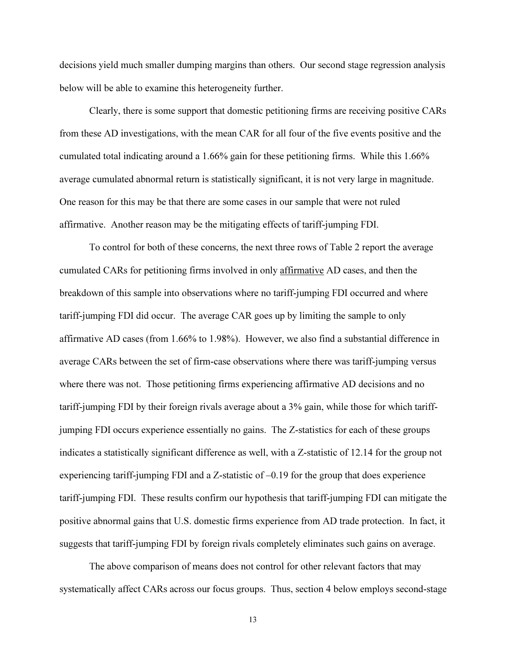decisions yield much smaller dumping margins than others. Our second stage regression analysis below will be able to examine this heterogeneity further.

 Clearly, there is some support that domestic petitioning firms are receiving positive CARs from these AD investigations, with the mean CAR for all four of the five events positive and the cumulated total indicating around a 1.66% gain for these petitioning firms. While this 1.66% average cumulated abnormal return is statistically significant, it is not very large in magnitude. One reason for this may be that there are some cases in our sample that were not ruled affirmative. Another reason may be the mitigating effects of tariff-jumping FDI.

To control for both of these concerns, the next three rows of Table 2 report the average cumulated CARs for petitioning firms involved in only affirmative AD cases, and then the breakdown of this sample into observations where no tariff-jumping FDI occurred and where tariff-jumping FDI did occur. The average CAR goes up by limiting the sample to only affirmative AD cases (from 1.66% to 1.98%). However, we also find a substantial difference in average CARs between the set of firm-case observations where there was tariff-jumping versus where there was not. Those petitioning firms experiencing affirmative AD decisions and no tariff-jumping FDI by their foreign rivals average about a 3% gain, while those for which tariffjumping FDI occurs experience essentially no gains. The Z-statistics for each of these groups indicates a statistically significant difference as well, with a Z-statistic of 12.14 for the group not experiencing tariff-jumping FDI and a Z-statistic of  $-0.19$  for the group that does experience tariff-jumping FDI. These results confirm our hypothesis that tariff-jumping FDI can mitigate the positive abnormal gains that U.S. domestic firms experience from AD trade protection. In fact, it suggests that tariff-jumping FDI by foreign rivals completely eliminates such gains on average.

The above comparison of means does not control for other relevant factors that may systematically affect CARs across our focus groups. Thus, section 4 below employs second-stage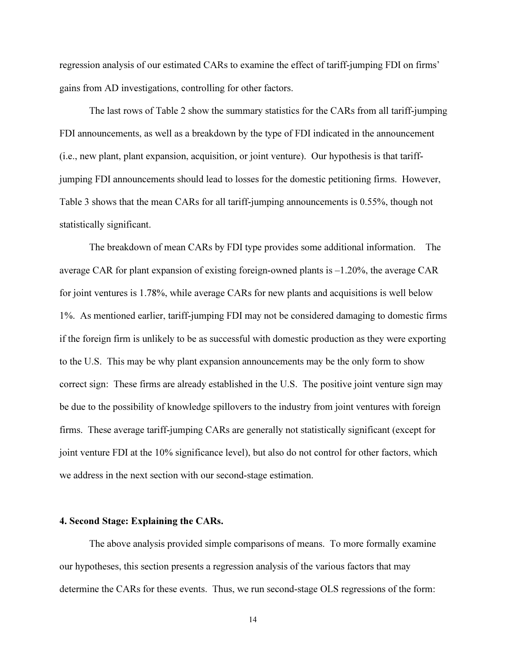regression analysis of our estimated CARs to examine the effect of tariff-jumping FDI on firms' gains from AD investigations, controlling for other factors.

The last rows of Table 2 show the summary statistics for the CARs from all tariff-jumping FDI announcements, as well as a breakdown by the type of FDI indicated in the announcement (i.e., new plant, plant expansion, acquisition, or joint venture). Our hypothesis is that tariffjumping FDI announcements should lead to losses for the domestic petitioning firms. However, Table 3 shows that the mean CARs for all tariff-jumping announcements is 0.55%, though not statistically significant.

The breakdown of mean CARs by FDI type provides some additional information. The average CAR for plant expansion of existing foreign-owned plants is –1.20%, the average CAR for joint ventures is 1.78%, while average CARs for new plants and acquisitions is well below 1%. As mentioned earlier, tariff-jumping FDI may not be considered damaging to domestic firms if the foreign firm is unlikely to be as successful with domestic production as they were exporting to the U.S. This may be why plant expansion announcements may be the only form to show correct sign: These firms are already established in the U.S. The positive joint venture sign may be due to the possibility of knowledge spillovers to the industry from joint ventures with foreign firms. These average tariff-jumping CARs are generally not statistically significant (except for joint venture FDI at the 10% significance level), but also do not control for other factors, which we address in the next section with our second-stage estimation.

#### 4. Second Stage: Explaining the CARs.

 The above analysis provided simple comparisons of means. To more formally examine our hypotheses, this section presents a regression analysis of the various factors that may determine the CARs for these events. Thus, we run second-stage OLS regressions of the form: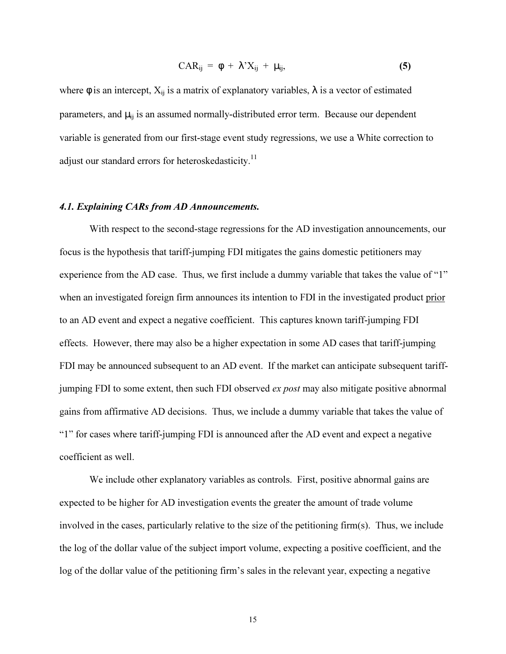$$
CAR_{ij} = \phi + \lambda' X_{ij} + \mu_{ij}, \qquad (5)
$$

where  $\phi$  is an intercept,  $X_{ij}$  is a matrix of explanatory variables,  $\lambda$  is a vector of estimated parameters, and  $\mu_{ii}$  is an assumed normally-distributed error term. Because our dependent variable is generated from our first-stage event study regressions, we use a White correction to adjust our standard errors for heteroskedasticity.<sup>11</sup>

# $4.1.6.$  Finally  $\sigma$

 With respect to the second-stage regressions for the AD investigation announcements, our focus is the hypothesis that tariff-jumping FDI mitigates the gains domestic petitioners may experience from the AD case. Thus, we first include a dummy variable that takes the value of "1" when an investigated foreign firm announces its intention to FDI in the investigated product prior to an AD event and expect a negative coefficient. This captures known tariff-jumping FDI effects. However, there may also be a higher expectation in some AD cases that tariff-jumping FDI may be announced subsequent to an AD event. If the market can anticipate subsequent tariffjumping FDI to some extent, then such FDI observed ex post may also mitigate positive abnormal gains from affirmative AD decisions. Thus, we include a dummy variable that takes the value of "1" for cases where tariff-jumping FDI is announced after the AD event and expect a negative coefficient as well.

 We include other explanatory variables as controls. First, positive abnormal gains are expected to be higher for AD investigation events the greater the amount of trade volume involved in the cases, particularly relative to the size of the petitioning firm(s). Thus, we include the log of the dollar value of the subject import volume, expecting a positive coefficient, and the log of the dollar value of the petitioning firm's sales in the relevant year, expecting a negative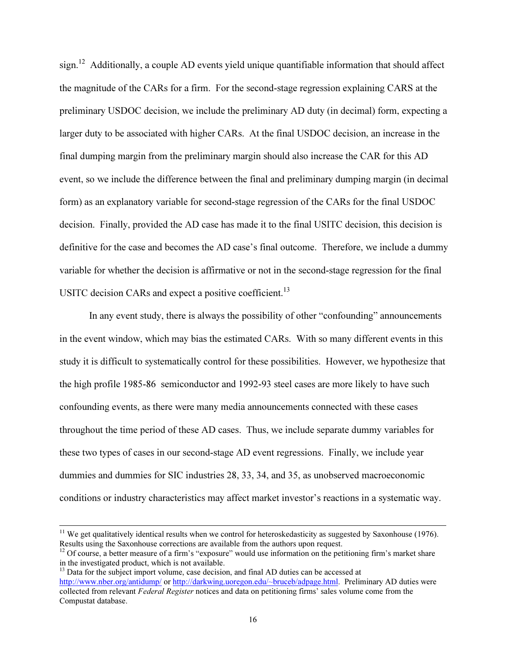sign.<sup>12</sup> Additionally, a couple AD events yield unique quantifiable information that should affect the magnitude of the CARs for a firm. For the second-stage regression explaining CARS at the preliminary USDOC decision, we include the preliminary AD duty (in decimal) form, expecting a larger duty to be associated with higher CARs. At the final USDOC decision, an increase in the final dumping margin from the preliminary margin should also increase the CAR for this AD event, so we include the difference between the final and preliminary dumping margin (in decimal form) as an explanatory variable for second-stage regression of the CARs for the final USDOC decision. Finally, provided the AD case has made it to the final USITC decision, this decision is definitive for the case and becomes the AD case's final outcome. Therefore, we include a dummy variable for whether the decision is affirmative or not in the second-stage regression for the final USITC decision CARs and expect a positive coefficient.<sup>13</sup>

In any event study, there is always the possibility of other "confounding" announcements in the event window, which may bias the estimated CARs. With so many different events in this study it is difficult to systematically control for these possibilities. However, we hypothesize that the high profile 1985-86 semiconductor and 1992-93 steel cases are more likely to have such confounding events, as there were many media announcements connected with these cases throughout the time period of these AD cases. Thus, we include separate dummy variables for these two types of cases in our second-stage AD event regressions. Finally, we include year dummies and dummies for SIC industries 28, 33, 34, and 35, as unobserved macroeconomic conditions or industry characteristics may affect market investor's reactions in a systematic way.

 $11$  We get qualitatively identical results when we control for heteroskedasticity as suggested by Saxonhouse (1976). Results using the Saxonhouse corrections are available from the authors upon request.

<sup>&</sup>lt;sup>12</sup> Of course, a better measure of a firm's "exposure" would use information on the petitioning firm's market share in the investigated product, which is not available.

<sup>&</sup>lt;sup>13</sup> Data for the subject import volume, case decision, and final AD duties can be accessed at http://www.nber.org/antidump/ or http://darkwing.uoregon.edu/~bruceb/adpage.html. Preliminary AD duties were collected from relevant Federal Register notices and data on petitioning firms' sales volume come from the Compustat database.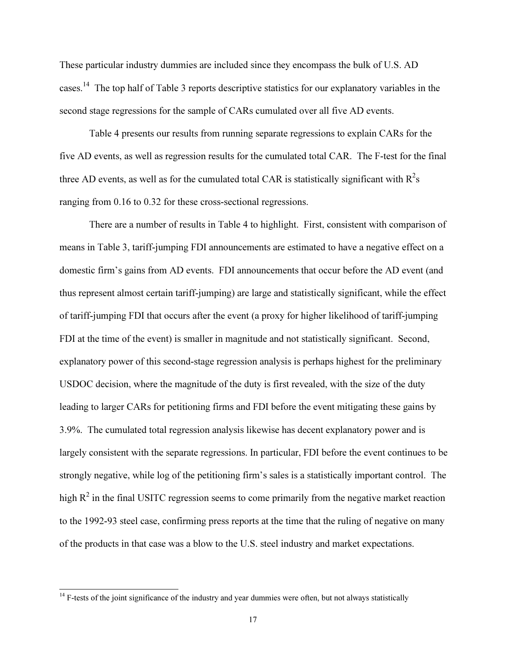These particular industry dummies are included since they encompass the bulk of U.S. AD cases.<sup>14</sup> The top half of Table 3 reports descriptive statistics for our explanatory variables in the second stage regressions for the sample of CARs cumulated over all five AD events.

Table 4 presents our results from running separate regressions to explain CARs for the five AD events, as well as regression results for the cumulated total CAR. The F-test for the final three AD events, as well as for the cumulated total CAR is statistically significant with  $R^2$ s ranging from 0.16 to 0.32 for these cross-sectional regressions.

There are a number of results in Table 4 to highlight. First, consistent with comparison of means in Table 3, tariff-jumping FDI announcements are estimated to have a negative effect on a domestic firm's gains from AD events. FDI announcements that occur before the AD event (and thus represent almost certain tariff-jumping) are large and statistically significant, while the effect of tariff-jumping FDI that occurs after the event (a proxy for higher likelihood of tariff-jumping FDI at the time of the event) is smaller in magnitude and not statistically significant. Second, explanatory power of this second-stage regression analysis is perhaps highest for the preliminary USDOC decision, where the magnitude of the duty is first revealed, with the size of the duty leading to larger CARs for petitioning firms and FDI before the event mitigating these gains by 3.9%. The cumulated total regression analysis likewise has decent explanatory power and is largely consistent with the separate regressions. In particular, FDI before the event continues to be strongly negative, while log of the petitioning firm's sales is a statistically important control. The high  $R^2$  in the final USITC regression seems to come primarily from the negative market reaction to the 1992-93 steel case, confirming press reports at the time that the ruling of negative on many of the products in that case was a blow to the U.S. steel industry and market expectations.

<sup>&</sup>lt;sup>14</sup> F-tests of the joint significance of the industry and year dummies were often, but not always statistically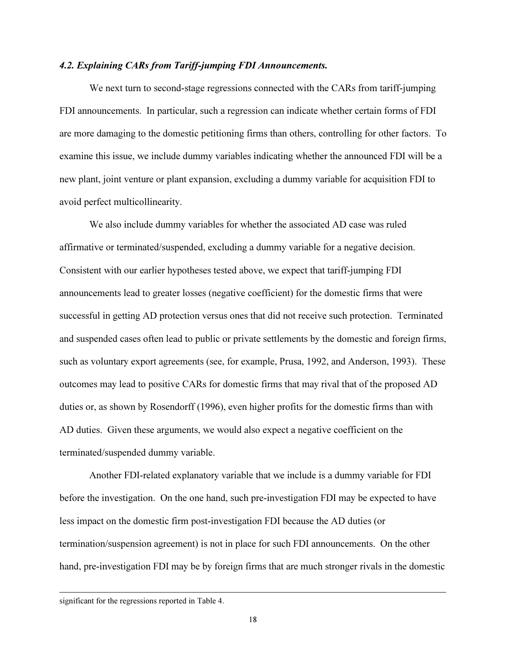# $\mathcal{L}_{\mathbf{F}}$  and  $\mathcal{L}_{\mathbf{F}}$  from Tariff-jumping FDI  $\mathcal{L}_{\mathbf{F}}$

We next turn to second-stage regressions connected with the CARs from tariff-jumping FDI announcements. In particular, such a regression can indicate whether certain forms of FDI are more damaging to the domestic petitioning firms than others, controlling for other factors. To examine this issue, we include dummy variables indicating whether the announced FDI will be a new plant, joint venture or plant expansion, excluding a dummy variable for acquisition FDI to avoid perfect multicollinearity.

We also include dummy variables for whether the associated AD case was ruled affirmative or terminated/suspended, excluding a dummy variable for a negative decision. Consistent with our earlier hypotheses tested above, we expect that tariff-jumping FDI announcements lead to greater losses (negative coefficient) for the domestic firms that were successful in getting AD protection versus ones that did not receive such protection. Terminated and suspended cases often lead to public or private settlements by the domestic and foreign firms, such as voluntary export agreements (see, for example, Prusa, 1992, and Anderson, 1993). These outcomes may lead to positive CARs for domestic firms that may rival that of the proposed AD duties or, as shown by Rosendorff (1996), even higher profits for the domestic firms than with AD duties. Given these arguments, we would also expect a negative coefficient on the terminated/suspended dummy variable.

Another FDI-related explanatory variable that we include is a dummy variable for FDI before the investigation. On the one hand, such pre-investigation FDI may be expected to have less impact on the domestic firm post-investigation FDI because the AD duties (or termination/suspension agreement) is not in place for such FDI announcements. On the other hand, pre-investigation FDI may be by foreign firms that are much stronger rivals in the domestic

significant for the regressions reported in Table 4.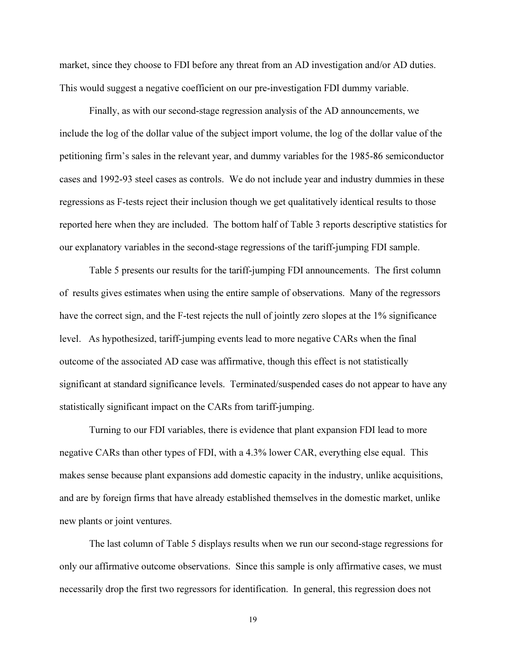market, since they choose to FDI before any threat from an AD investigation and/or AD duties. This would suggest a negative coefficient on our pre-investigation FDI dummy variable.

 Finally, as with our second-stage regression analysis of the AD announcements, we include the log of the dollar value of the subject import volume, the log of the dollar value of the petitioning firm's sales in the relevant year, and dummy variables for the 1985-86 semiconductor cases and 1992-93 steel cases as controls. We do not include year and industry dummies in these regressions as F-tests reject their inclusion though we get qualitatively identical results to those reported here when they are included. The bottom half of Table 3 reports descriptive statistics for our explanatory variables in the second-stage regressions of the tariff-jumping FDI sample.

Table 5 presents our results for the tariff-jumping FDI announcements. The first column of results gives estimates when using the entire sample of observations. Many of the regressors have the correct sign, and the F-test rejects the null of jointly zero slopes at the 1% significance level. As hypothesized, tariff-jumping events lead to more negative CARs when the final outcome of the associated AD case was affirmative, though this effect is not statistically significant at standard significance levels. Terminated/suspended cases do not appear to have any statistically significant impact on the CARs from tariff-jumping.

Turning to our FDI variables, there is evidence that plant expansion FDI lead to more negative CARs than other types of FDI, with a 4.3% lower CAR, everything else equal. This makes sense because plant expansions add domestic capacity in the industry, unlike acquisitions, and are by foreign firms that have already established themselves in the domestic market, unlike new plants or joint ventures.

The last column of Table 5 displays results when we run our second-stage regressions for only our affirmative outcome observations. Since this sample is only affirmative cases, we must necessarily drop the first two regressors for identification. In general, this regression does not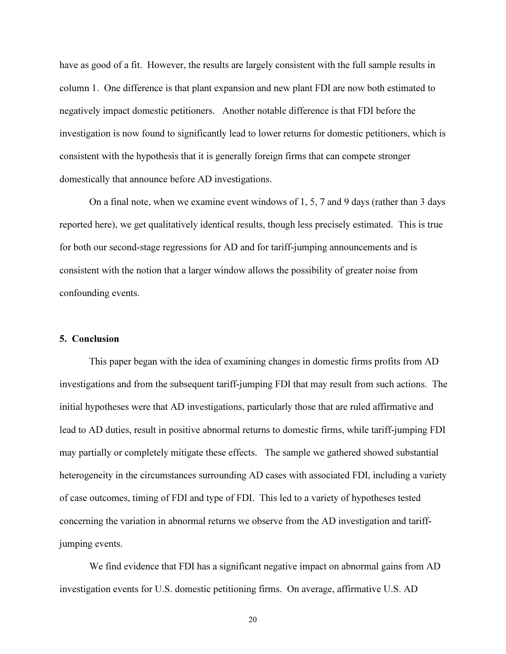have as good of a fit. However, the results are largely consistent with the full sample results in column 1. One difference is that plant expansion and new plant FDI are now both estimated to negatively impact domestic petitioners. Another notable difference is that FDI before the investigation is now found to significantly lead to lower returns for domestic petitioners, which is consistent with the hypothesis that it is generally foreign firms that can compete stronger domestically that announce before AD investigations.

On a final note, when we examine event windows of 1, 5, 7 and 9 days (rather than 3 days reported here), we get qualitatively identical results, though less precisely estimated. This is true for both our second-stage regressions for AD and for tariff-jumping announcements and is consistent with the notion that a larger window allows the possibility of greater noise from confounding events.

### 5. Conclusion

 This paper began with the idea of examining changes in domestic firms profits from AD investigations and from the subsequent tariff-jumping FDI that may result from such actions. The initial hypotheses were that AD investigations, particularly those that are ruled affirmative and lead to AD duties, result in positive abnormal returns to domestic firms, while tariff-jumping FDI may partially or completely mitigate these effects. The sample we gathered showed substantial heterogeneity in the circumstances surrounding AD cases with associated FDI, including a variety of case outcomes, timing of FDI and type of FDI. This led to a variety of hypotheses tested concerning the variation in abnormal returns we observe from the AD investigation and tariffjumping events.

We find evidence that FDI has a significant negative impact on abnormal gains from AD investigation events for U.S. domestic petitioning firms. On average, affirmative U.S. AD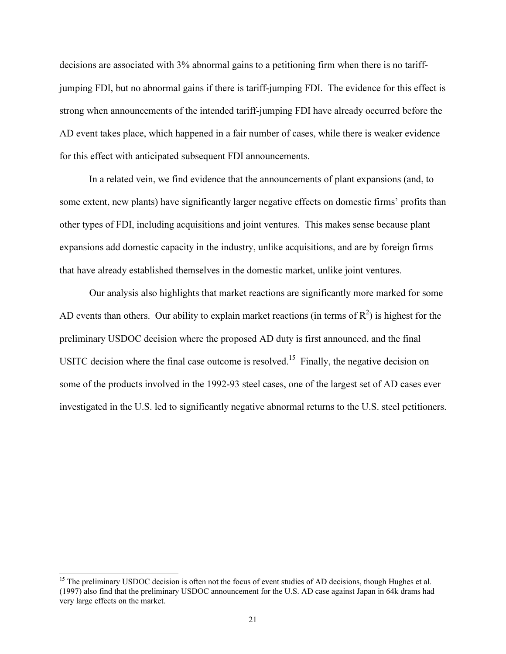decisions are associated with 3% abnormal gains to a petitioning firm when there is no tariffjumping FDI, but no abnormal gains if there is tariff-jumping FDI. The evidence for this effect is strong when announcements of the intended tariff-jumping FDI have already occurred before the AD event takes place, which happened in a fair number of cases, while there is weaker evidence for this effect with anticipated subsequent FDI announcements.

In a related vein, we find evidence that the announcements of plant expansions (and, to some extent, new plants) have significantly larger negative effects on domestic firms' profits than other types of FDI, including acquisitions and joint ventures. This makes sense because plant expansions add domestic capacity in the industry, unlike acquisitions, and are by foreign firms that have already established themselves in the domestic market, unlike joint ventures.

Our analysis also highlights that market reactions are significantly more marked for some AD events than others. Our ability to explain market reactions (in terms of  $R^2$ ) is highest for the preliminary USDOC decision where the proposed AD duty is first announced, and the final USITC decision where the final case outcome is resolved.<sup>15</sup> Finally, the negative decision on some of the products involved in the 1992-93 steel cases, one of the largest set of AD cases ever investigated in the U.S. led to significantly negative abnormal returns to the U.S. steel petitioners.

<sup>&</sup>lt;sup>15</sup> The preliminary USDOC decision is often not the focus of event studies of AD decisions, though Hughes et al. (1997) also find that the preliminary USDOC announcement for the U.S. AD case against Japan in 64k drams had very large effects on the market.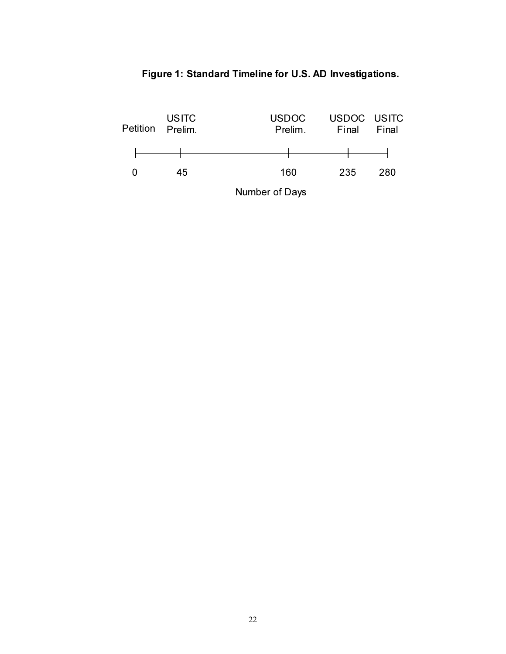

## Figure 1: Standard Timeline for U.S. AD Investigations.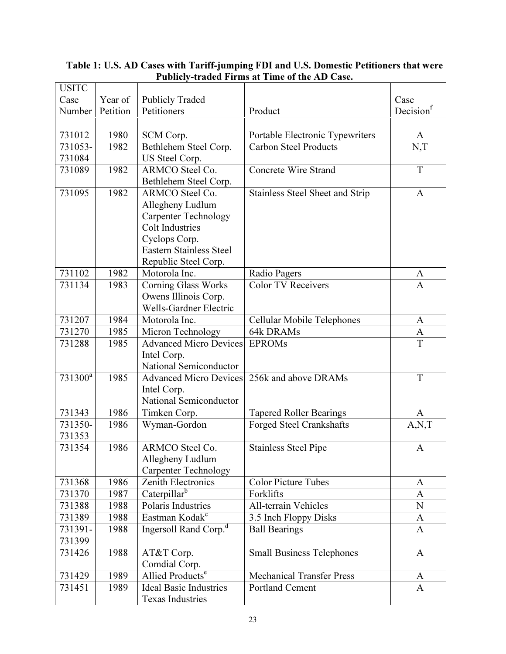| <b>USITC</b>        |          |                                                |                                  |                   |
|---------------------|----------|------------------------------------------------|----------------------------------|-------------------|
| Case                | Year of  | <b>Publicly Traded</b>                         |                                  | Case              |
| Number              | Petition | Petitioners                                    | Product                          | Decision          |
|                     |          |                                                |                                  |                   |
| 731012              | 1980     | SCM Corp.                                      | Portable Electronic Typewriters  | A                 |
| 731053-             | 1982     | Bethlehem Steel Corp.                          | <b>Carbon Steel Products</b>     | N, T              |
| 731084              |          | US Steel Corp.                                 |                                  |                   |
| 731089              | 1982     | ARMCO Steel Co.                                | <b>Concrete Wire Strand</b>      | $\mathbf T$       |
|                     |          | Bethlehem Steel Corp.                          |                                  |                   |
| 731095              | 1982     | ARMCO Steel Co.                                | Stainless Steel Sheet and Strip  | $\mathbf{A}$      |
|                     |          | Allegheny Ludlum                               |                                  |                   |
|                     |          | <b>Carpenter Technology</b>                    |                                  |                   |
|                     |          | <b>Colt Industries</b>                         |                                  |                   |
|                     |          | Cyclops Corp.                                  |                                  |                   |
|                     |          | Eastern Stainless Steel                        |                                  |                   |
|                     |          | Republic Steel Corp.                           |                                  |                   |
| 731102              | 1982     | Motorola Inc.                                  | Radio Pagers                     | <u>A</u>          |
| 731134              | 1983     | <b>Corning Glass Works</b>                     | <b>Color TV Receivers</b>        | $\mathbf{A}$      |
|                     |          | Owens Illinois Corp.                           |                                  |                   |
| 731207              | 1984     | <b>Wells-Gardner Electric</b><br>Motorola Inc. |                                  |                   |
|                     |          |                                                | Cellular Mobile Telephones       | A                 |
| 731270              | 1985     | Micron Technology                              | 64k DRAMs                        | $\mathbf{A}$<br>T |
| 731288              | 1985     | <b>Advanced Micro Devices</b>                  | <b>EPROMs</b>                    |                   |
|                     |          | Intel Corp.<br>National Semiconductor          |                                  |                   |
| 731300 <sup>a</sup> | 1985     | <b>Advanced Micro Devices</b>                  | 256k and above DRAMs             | T                 |
|                     |          | Intel Corp.                                    |                                  |                   |
|                     |          | National Semiconductor                         |                                  |                   |
| 731343              | 1986     | Timken Corp.                                   | Tapered Roller Bearings          | A                 |
| 731350-             | 1986     | Wyman-Gordon                                   | Forged Steel Crankshafts         | A, N, T           |
| 731353              |          |                                                |                                  |                   |
| 731354              | 1986     | ARMCO Steel Co.                                | <b>Stainless Steel Pipe</b>      | $\mathbf{A}$      |
|                     |          | Allegheny Ludlum                               |                                  |                   |
|                     |          | <b>Carpenter Technology</b>                    |                                  |                   |
| 731368              | 1986     | Zenith Electronics                             | <b>Color Picture Tubes</b>       | A                 |
| 731370              | 1987     | Caterpillar <sup>b</sup>                       | Forklifts                        | A                 |
| 731388              | 1988     | Polaris Industries                             | All-terrain Vehicles             | ${\bf N}$         |
| 731389              | 1988     | Eastman Kodak <sup>c</sup>                     | 3.5 Inch Floppy Disks            | A                 |
| 731391-             | 1988     | Ingersoll Rand Corp. <sup>d</sup>              | <b>Ball Bearings</b>             | A                 |
| 731399              |          |                                                |                                  |                   |
| 731426              | 1988     | AT&T Corp.                                     | <b>Small Business Telephones</b> | $\mathbf{A}$      |
|                     |          | Comdial Corp.                                  |                                  |                   |
| 731429              | 1989     | Allied Products <sup>e</sup>                   | <b>Mechanical Transfer Press</b> | A                 |
| 731451              | 1989     | <b>Ideal Basic Industries</b>                  | <b>Portland Cement</b>           | $\mathbf{A}$      |
|                     |          | <b>Texas Industries</b>                        |                                  |                   |

## Table 1: U.S. AD Cases with Tariff-jumping FDI and U.S. Domestic Petitioners that were Publicly-traded Firms at Time of the AD Case.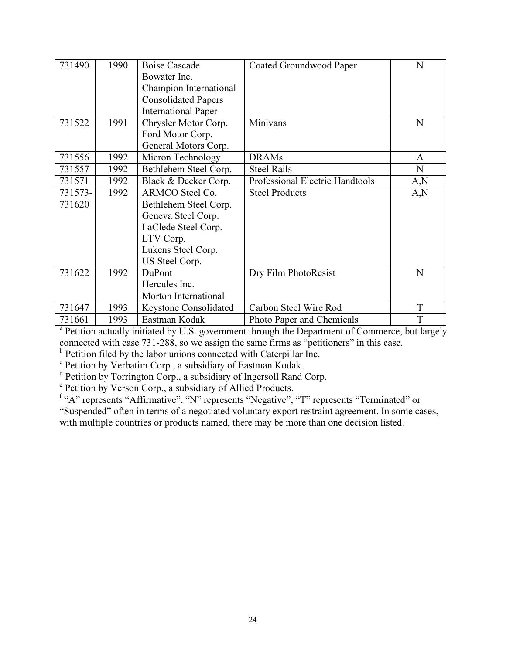| 731490  | 1990 | <b>Boise Cascade</b>       | Coated Groundwood Paper         | N    |
|---------|------|----------------------------|---------------------------------|------|
|         |      | Bowater Inc.               |                                 |      |
|         |      | Champion International     |                                 |      |
|         |      | <b>Consolidated Papers</b> |                                 |      |
|         |      | <b>International Paper</b> |                                 |      |
| 731522  | 1991 | Chrysler Motor Corp.       | Minivans                        | N    |
|         |      | Ford Motor Corp.           |                                 |      |
|         |      | General Motors Corp.       |                                 |      |
| 731556  | 1992 | Micron Technology          | <b>DRAMs</b>                    | A    |
| 731557  | 1992 | Bethlehem Steel Corp.      | <b>Steel Rails</b>              | N    |
| 731571  | 1992 | Black & Decker Corp.       | Professional Electric Handtools | A, N |
| 731573- | 1992 | ARMCO Steel Co.            | <b>Steel Products</b>           | A,N  |
| 731620  |      | Bethlehem Steel Corp.      |                                 |      |
|         |      | Geneva Steel Corp.         |                                 |      |
|         |      | LaClede Steel Corp.        |                                 |      |
|         |      | LTV Corp.                  |                                 |      |
|         |      | Lukens Steel Corp.         |                                 |      |
|         |      | US Steel Corp.             |                                 |      |
| 731622  | 1992 | DuPont                     | Dry Film PhotoResist            | N    |
|         |      | Hercules Inc.              |                                 |      |
|         |      | Morton International       |                                 |      |
| 731647  | 1993 | Keystone Consolidated      | Carbon Steel Wire Rod           | T    |
| 731661  | 1993 | Eastman Kodak              | Photo Paper and Chemicals       | T    |

731661 1993 Eastman Kodak Photo Paper and Chemicals T a Petition actually initiated by U.S. government through the Department of Commerce, but largely connected with case 731-288, so we assign the same firms as "petitioners" in this case.

<sup>b</sup> Petition filed by the labor unions connected with Caterpillar Inc.

<sup>c</sup> Petition by Verbatim Corp., a subsidiary of Eastman Kodak.

<sup>d</sup> Petition by Torrington Corp., a subsidiary of Ingersoll Rand Corp.

<sup>e</sup> Petition by Verson Corp., a subsidiary of Allied Products.

<sup>f</sup> "A" represents "Affirmative", "N" represents "Negative", "T" represents "Terminated" or "Suspended" often in terms of a negotiated voluntary export restraint agreement. In some cases, with multiple countries or products named, there may be more than one decision listed.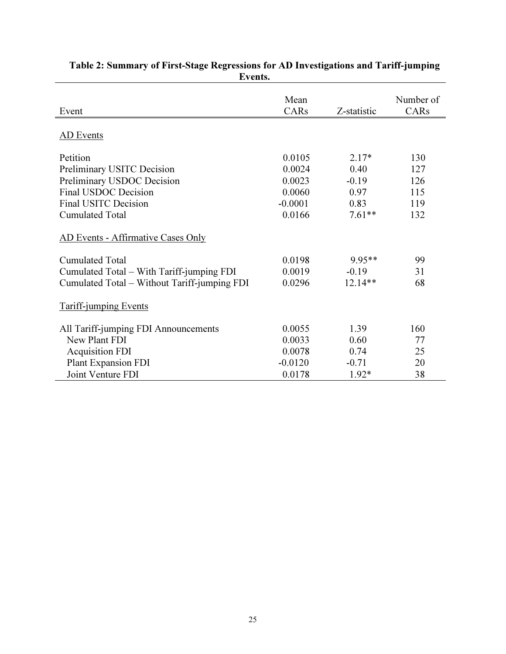| Event                                                                                                                | Mean<br>CARs                                      | Z-statistic                                | Number of<br>CARs               |
|----------------------------------------------------------------------------------------------------------------------|---------------------------------------------------|--------------------------------------------|---------------------------------|
| AD Events                                                                                                            |                                                   |                                            |                                 |
| Petition<br>Preliminary USITC Decision<br>Preliminary USDOC Decision<br>Final USDOC Decision<br>Final USITC Decision | 0.0105<br>0.0024<br>0.0023<br>0.0060<br>$-0.0001$ | $2.17*$<br>0.40<br>$-0.19$<br>0.97<br>0.83 | 130<br>127<br>126<br>115<br>119 |
| <b>Cumulated Total</b><br>AD Events - Affirmative Cases Only                                                         | 0.0166                                            | $7.61**$                                   | 132                             |
| <b>Cumulated Total</b><br>Cumulated Total – With Tariff-jumping FDI<br>Cumulated Total - Without Tariff-jumping FDI  | 0.0198<br>0.0019<br>0.0296                        | 9.95**<br>$-0.19$<br>$12.14**$             | 99<br>31<br>68                  |
| <b>Tariff-jumping Events</b>                                                                                         |                                                   |                                            |                                 |
| All Tariff-jumping FDI Announcements<br>New Plant FDI<br><b>Acquisition FDI</b><br><b>Plant Expansion FDI</b>        | 0.0055<br>0.0033<br>0.0078<br>$-0.0120$           | 1.39<br>0.60<br>0.74<br>$-0.71$            | 160<br>77<br>25<br>20           |
| Joint Venture FDI                                                                                                    | 0.0178                                            | $1.92*$                                    | 38                              |

### Table 2: Summary of First-Stage Regressions for AD Investigations and Tariff-jumping Events.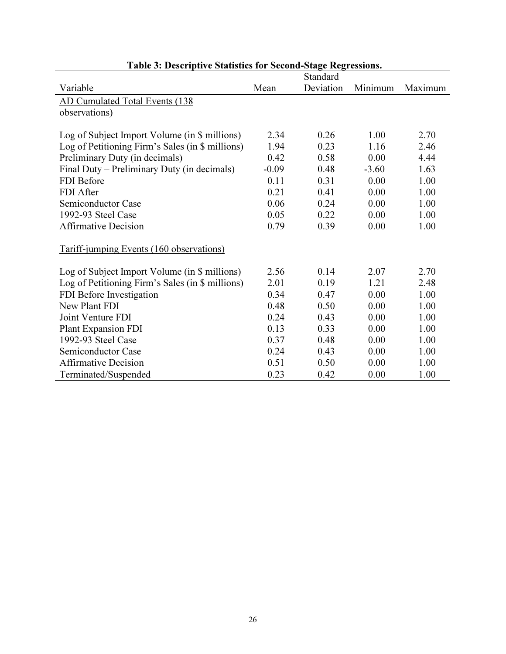| Table 3: Descriptive Statistics for Second-Stage Regressions. |         |           |         |         |  |
|---------------------------------------------------------------|---------|-----------|---------|---------|--|
|                                                               |         | Standard  |         |         |  |
| Variable                                                      | Mean    | Deviation | Minimum | Maximum |  |
| AD Cumulated Total Events (138                                |         |           |         |         |  |
| observations)                                                 |         |           |         |         |  |
|                                                               |         |           |         |         |  |
| Log of Subject Import Volume (in \$ millions)                 | 2.34    | 0.26      | 1.00    | 2.70    |  |
| Log of Petitioning Firm's Sales (in \$ millions)              | 1.94    | 0.23      | 1.16    | 2.46    |  |
| Preliminary Duty (in decimals)                                | 0.42    | 0.58      | 0.00    | 4.44    |  |
| Final Duty – Preliminary Duty (in decimals)                   | $-0.09$ | 0.48      | $-3.60$ | 1.63    |  |
| <b>FDI</b> Before                                             | 0.11    | 0.31      | 0.00    | 1.00    |  |
| FDI After                                                     | 0.21    | 0.41      | 0.00    | 1.00    |  |
| Semiconductor Case                                            | 0.06    | 0.24      | 0.00    | 1.00    |  |
| 1992-93 Steel Case                                            | 0.05    | 0.22      | 0.00    | 1.00    |  |
| <b>Affirmative Decision</b>                                   | 0.79    | 0.39      | 0.00    | 1.00    |  |
| Tariff-jumping Events (160 observations)                      |         |           |         |         |  |
| Log of Subject Import Volume (in \$ millions)                 | 2.56    | 0.14      | 2.07    | 2.70    |  |
| Log of Petitioning Firm's Sales (in \$ millions)              | 2.01    | 0.19      | 1.21    | 2.48    |  |
| FDI Before Investigation                                      | 0.34    | 0.47      | 0.00    | 1.00    |  |
| New Plant FDI                                                 | 0.48    | 0.50      | 0.00    | 1.00    |  |
| Joint Venture FDI                                             | 0.24    | 0.43      | 0.00    | 1.00    |  |
| Plant Expansion FDI                                           | 0.13    | 0.33      | 0.00    | 1.00    |  |
| 1992-93 Steel Case                                            | 0.37    | 0.48      | 0.00    | 1.00    |  |
| <b>Semiconductor Case</b>                                     | 0.24    | 0.43      | 0.00    | 1.00    |  |
| <b>Affirmative Decision</b>                                   | 0.51    | 0.50      | 0.00    | 1.00    |  |
| Terminated/Suspended                                          | 0.23    | 0.42      | 0.00    | 1.00    |  |

## Table 3: Descriptive Statistics for Second-Stage Regressions.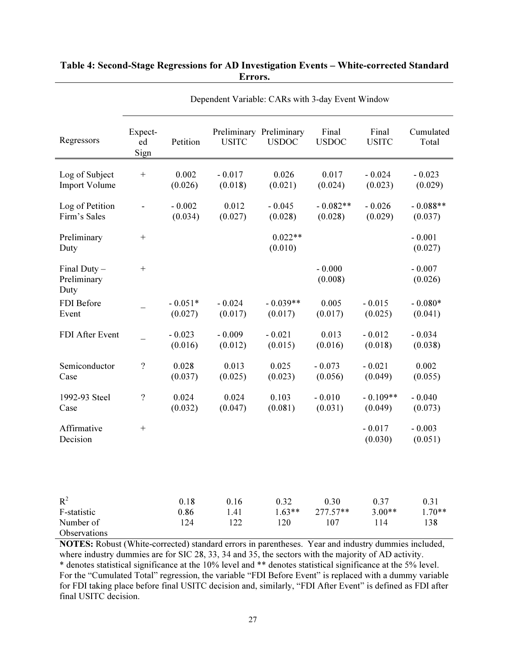| Regressors                                        | Expect-<br>ed<br>Sign | Petition             | <b>USITC</b>        | Preliminary Preliminary<br><b>USDOC</b> | Final<br><b>USDOC</b>     | Final<br><b>USITC</b>   | Cumulated<br>Total      |
|---------------------------------------------------|-----------------------|----------------------|---------------------|-----------------------------------------|---------------------------|-------------------------|-------------------------|
| Log of Subject<br><b>Import Volume</b>            |                       | 0.002<br>(0.026)     | $-0.017$<br>(0.018) | 0.026<br>(0.021)                        | 0.017<br>(0.024)          | $-0.024$<br>(0.023)     | $-0.023$<br>(0.029)     |
| Log of Petition<br>Firm's Sales                   |                       | $-0.002$<br>(0.034)  | 0.012<br>(0.027)    | $-0.045$<br>(0.028)                     | $-0.082**$<br>(0.028)     | $-0.026$<br>(0.029)     | $-0.088**$<br>(0.037)   |
| Preliminary<br>Duty                               |                       |                      |                     | $0.022**$<br>(0.010)                    |                           |                         | $-0.001$<br>(0.027)     |
| Final Duty $-$<br>Preliminary<br>Duty             | $\boldsymbol{+}$      |                      |                     |                                         | $-0.000$<br>(0.008)       |                         | $-0.007$<br>(0.026)     |
| FDI Before<br>Event                               |                       | $-0.051*$<br>(0.027) | $-0.024$<br>(0.017) | $-0.039**$<br>(0.017)                   | 0.005<br>(0.017)          | $-0.015$<br>(0.025)     | $-0.080*$<br>(0.041)    |
| FDI After Event                                   |                       | $-0.023$<br>(0.016)  | $-0.009$<br>(0.012) | $-0.021$<br>(0.015)                     | 0.013<br>(0.016)          | $-0.012$<br>(0.018)     | $-0.034$<br>(0.038)     |
| Semiconductor<br>Case                             | $\boldsymbol{?}$      | 0.028<br>(0.037)     | 0.013<br>(0.025)    | 0.025<br>(0.023)                        | $-0.073$<br>(0.056)       | $-0.021$<br>(0.049)     | 0.002<br>(0.055)        |
| 1992-93 Steel<br>Case                             | $\overline{?}$        | 0.024<br>(0.032)     | 0.024<br>(0.047)    | 0.103<br>(0.081)                        | $-0.010$<br>(0.031)       | $-0.109**$<br>(0.049)   | $-0.040$<br>(0.073)     |
| Affirmative<br>Decision                           | $^{+}$                |                      |                     |                                         |                           | $-0.017$<br>(0.030)     | $-0.003$<br>(0.051)     |
|                                                   |                       |                      |                     |                                         |                           |                         |                         |
| $R^2$<br>F-statistic<br>Number of<br>Observations |                       | 0.18<br>0.86<br>124  | 0.16<br>1.41<br>122 | 0.32<br>$1.63**$<br>120                 | 0.30<br>$277.57**$<br>107 | 0.37<br>$3.00**$<br>114 | 0.31<br>$1.70**$<br>138 |

### Table 4: Second-Stage Regressions for AD Investigation Events – White-corrected Standard Errors.

Dependent Variable: CARs with 3-day Event Window

NOTES: Robust (White-corrected) standard errors in parentheses. Year and industry dummies included, where industry dummies are for SIC 28, 33, 34 and 35, the sectors with the majority of AD activity. \* denotes statistical significance at the 10% level and \*\* denotes statistical significance at the 5% level. For the "Cumulated Total" regression, the variable "FDI Before Event" is replaced with a dummy variable for FDI taking place before final USITC decision and, similarly, "FDI After Event" is defined as FDI after final USITC decision.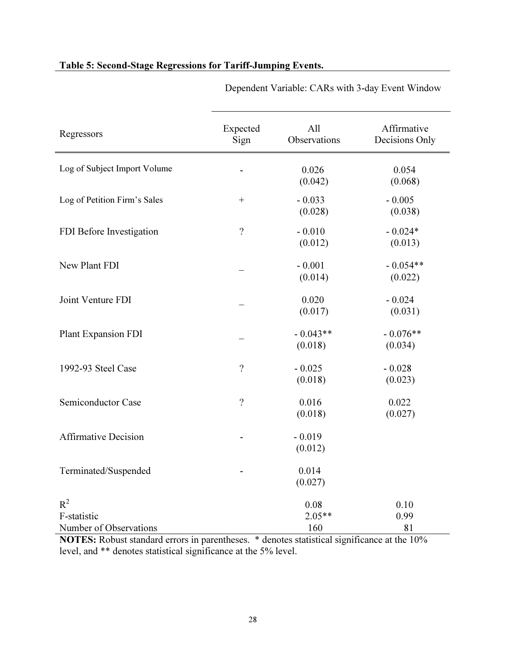| Regressors                                     | Expected<br>Sign   | All<br>Observations     | Affirmative<br>Decisions Only |
|------------------------------------------------|--------------------|-------------------------|-------------------------------|
| Log of Subject Import Volume                   |                    | 0.026<br>(0.042)        | 0.054<br>(0.068)              |
| Log of Petition Firm's Sales                   | $\boldsymbol{+}$   | $-0.033$<br>(0.028)     | $-0.005$<br>(0.038)           |
| FDI Before Investigation                       | $\overline{?}$     | $-0.010$<br>(0.012)     | $-0.024*$<br>(0.013)          |
| New Plant FDI                                  |                    | $-0.001$<br>(0.014)     | $-0.054**$<br>(0.022)         |
| Joint Venture FDI                              |                    | 0.020<br>(0.017)        | $-0.024$<br>(0.031)           |
| Plant Expansion FDI                            |                    | $-0.043**$<br>(0.018)   | $-0.076**$<br>(0.034)         |
| 1992-93 Steel Case                             | $\ddot{?}$         | $-0.025$<br>(0.018)     | $-0.028$<br>(0.023)           |
| Semiconductor Case                             | $\overline{\cdot}$ | 0.016<br>(0.018)        | 0.022<br>(0.027)              |
| <b>Affirmative Decision</b>                    |                    | $-0.019$<br>(0.012)     |                               |
| Terminated/Suspended                           |                    | 0.014<br>(0.027)        |                               |
| $R^2$<br>F-statistic<br>Number of Observations |                    | 0.08<br>$2.05**$<br>160 | 0.10<br>0.99<br>81            |

## Table 5: Second-Stage Regressions for Tariff-Jumping Events.

Dependent Variable: CARs with 3-day Event Window

NOTES: Robust standard errors in parentheses. \* denotes statistical significance at the 10% level, and \*\* denotes statistical significance at the 5% level.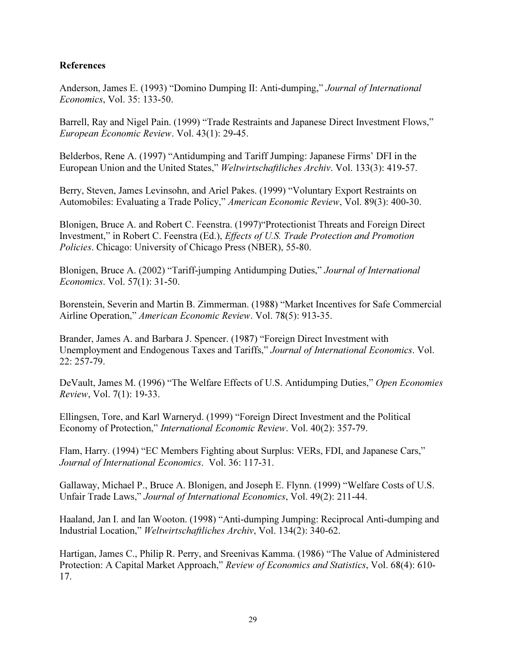## References

Anderson, James E. (1993) "Domino Dumping II: Anti-dumping," Journal of International Economics, Vol. 35: 133-50.

Barrell, Ray and Nigel Pain. (1999) "Trade Restraints and Japanese Direct Investment Flows," European Economic Review. Vol. 43(1): 29-45.

Belderbos, Rene A. (1997) "Antidumping and Tariff Jumping: Japanese Firms' DFI in the European Union and the United States," Weltwirtschaftliches Archiv. Vol. 133(3): 419-57.

Berry, Steven, James Levinsohn, and Ariel Pakes. (1999) "Voluntary Export Restraints on Automobiles: Evaluating a Trade Policy," American Economic Review, Vol. 89(3): 400-30.

Blonigen, Bruce A. and Robert C. Feenstra. (1997)"Protectionist Threats and Foreign Direct Investment," in Robert C. Feenstra (Ed.), Effects of U.S. Trade Protection and Promotion Policies. Chicago: University of Chicago Press (NBER), 55-80.

Blonigen, Bruce A. (2002) "Tariff-jumping Antidumping Duties," Journal of International Economics. Vol. 57(1): 31-50.

Borenstein, Severin and Martin B. Zimmerman. (1988) "Market Incentives for Safe Commercial Airline Operation," American Economic Review. Vol. 78(5): 913-35.

Brander, James A. and Barbara J. Spencer. (1987) "Foreign Direct Investment with Unemployment and Endogenous Taxes and Tariffs," Journal of International Economics. Vol. 22: 257-79.

DeVault, James M. (1996) "The Welfare Effects of U.S. Antidumping Duties," Open Economies Review, Vol. 7(1): 19-33.

Ellingsen, Tore, and Karl Warneryd. (1999) "Foreign Direct Investment and the Political Economy of Protection," International Economic Review. Vol. 40(2): 357-79.

Flam, Harry. (1994) "EC Members Fighting about Surplus: VERs, FDI, and Japanese Cars," Journal of International Economics. Vol. 36: 117-31.

Gallaway, Michael P., Bruce A. Blonigen, and Joseph E. Flynn. (1999) "Welfare Costs of U.S. Unfair Trade Laws," Journal of International Economics, Vol. 49(2): 211-44.

Haaland, Jan I. and Ian Wooton. (1998) "Anti-dumping Jumping: Reciprocal Anti-dumping and Industrial Location," Weltwirtschaftliches Archiv, Vol. 134(2): 340-62.

Hartigan, James C., Philip R. Perry, and Sreenivas Kamma. (1986) "The Value of Administered Protection: A Capital Market Approach," Review of Economics and Statistics, Vol. 68(4): 610- 17.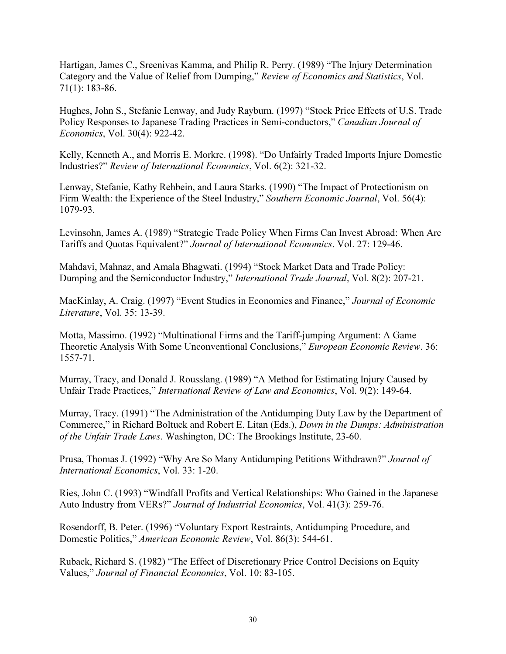Hartigan, James C., Sreenivas Kamma, and Philip R. Perry. (1989) "The Injury Determination Category and the Value of Relief from Dumping," Review of Economics and Statistics, Vol. 71(1): 183-86.

Hughes, John S., Stefanie Lenway, and Judy Rayburn. (1997) "Stock Price Effects of U.S. Trade Policy Responses to Japanese Trading Practices in Semi-conductors," Canadian Journal of Economics, Vol. 30(4): 922-42.

Kelly, Kenneth A., and Morris E. Morkre. (1998). "Do Unfairly Traded Imports Injure Domestic Industries?" Review of International Economics, Vol. 6(2): 321-32.

Lenway, Stefanie, Kathy Rehbein, and Laura Starks. (1990) "The Impact of Protectionism on Firm Wealth: the Experience of the Steel Industry," Southern Economic Journal, Vol. 56(4): 1079-93.

Levinsohn, James A. (1989) "Strategic Trade Policy When Firms Can Invest Abroad: When Are Tariffs and Quotas Equivalent?" Journal of International Economics. Vol. 27: 129-46.

Mahdavi, Mahnaz, and Amala Bhagwati. (1994) "Stock Market Data and Trade Policy: Dumping and the Semiconductor Industry," *International Trade Journal*, Vol. 8(2): 207-21.

MacKinlay, A. Craig. (1997) "Event Studies in Economics and Finance," Journal of Economic Literature, Vol. 35: 13-39.

Motta, Massimo. (1992) "Multinational Firms and the Tariff-jumping Argument: A Game Theoretic Analysis With Some Unconventional Conclusions," European Economic Review. 36: 1557-71.

Murray, Tracy, and Donald J. Rousslang. (1989) "A Method for Estimating Injury Caused by Unfair Trade Practices," International Review of Law and Economics, Vol. 9(2): 149-64.

Murray, Tracy. (1991) "The Administration of the Antidumping Duty Law by the Department of Commerce," in Richard Boltuck and Robert E. Litan (Eds.), Down in the Dumps: Administration of the Unfair Trade Laws. Washington, DC: The Brookings Institute, 23-60.

Prusa, Thomas J. (1992) "Why Are So Many Antidumping Petitions Withdrawn?" Journal of International Economics, Vol. 33: 1-20.

Ries, John C. (1993) "Windfall Profits and Vertical Relationships: Who Gained in the Japanese Auto Industry from VERs?" Journal of Industrial Economics, Vol. 41(3): 259-76.

Rosendorff, B. Peter. (1996) "Voluntary Export Restraints, Antidumping Procedure, and Domestic Politics," American Economic Review, Vol. 86(3): 544-61.

Ruback, Richard S. (1982) "The Effect of Discretionary Price Control Decisions on Equity Values," Journal of Financial Economics, Vol. 10: 83-105.